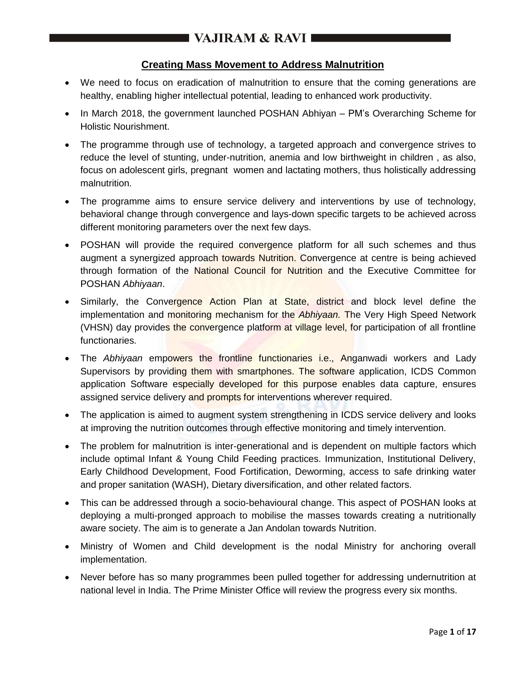## **Creating Mass Movement to Address Malnutrition**

- We need to focus on eradication of malnutrition to ensure that the coming generations are healthy, enabling higher intellectual potential, leading to enhanced work productivity.
- In March 2018, the government launched POSHAN Abhiyan PM's Overarching Scheme for Holistic Nourishment.
- The programme through use of technology, a targeted approach and convergence strives to reduce the level of stunting, under-nutrition, anemia and low birthweight in children , as also, focus on adolescent girls, pregnant women and lactating mothers, thus holistically addressing malnutrition.
- The programme aims to ensure service delivery and interventions by use of technology, behavioral change through convergence and lays-down specific targets to be achieved across different monitoring parameters over the next few days.
- POSHAN will provide the required convergence platform for all such schemes and thus augment a synergized approach towards Nutrition. Convergence at centre is being achieved through formation of the National Council for Nutrition and the Executive Committee for POSHAN *Abhiyaan*.
- Similarly, the Convergence Action Plan at State, district and block level define the implementation and monitoring mechanism for the *Abhiyaan.* The Very High Speed Network (VHSN) day provides the convergence platform at village level, for participation of all frontline functionaries.
- The *Abhiyaan* empowers the frontline functionaries i.e., Anganwadi workers and Lady Supervisors by providing them with smartphones. The software application, ICDS Common application Software especially developed for this purpose enables data capture, ensures assigned service delivery and prompts for interventions wherever required.
- The application is aimed to augment system strengthening in ICDS service delivery and looks at improving the nutrition outcomes through effective monitoring and timely intervention.
- The problem for malnutrition is inter-generational and is dependent on multiple factors which include optimal Infant & Young Child Feeding practices. Immunization, Institutional Delivery, Early Childhood Development, Food Fortification, Deworming, access to safe drinking water and proper sanitation (WASH), Dietary diversification, and other related factors.
- This can be addressed through a socio-behavioural change. This aspect of POSHAN looks at deploying a multi-pronged approach to mobilise the masses towards creating a nutritionally aware society. The aim is to generate a Jan Andolan towards Nutrition.
- Ministry of Women and Child development is the nodal Ministry for anchoring overall implementation.
- Never before has so many programmes been pulled together for addressing undernutrition at national level in India. The Prime Minister Office will review the progress every six months.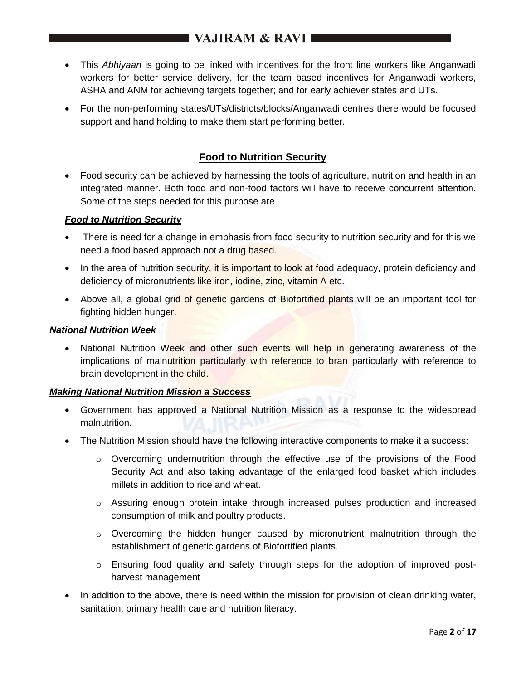- This *Abhiyaan* is going to be linked with incentives for the front line workers like Anganwadi workers for better service delivery, for the team based incentives for Anganwadi workers, ASHA and ANM for achieving targets together; and for early achiever states and UTs.
- For the non-performing states/UTs/districts/blocks/Anganwadi centres there would be focused support and hand holding to make them start performing better.

## **Food to Nutrition Security**

 Food security can be achieved by harnessing the tools of agriculture, nutrition and health in an integrated manner. Both food and non-food factors will have to receive concurrent attention. Some of the steps needed for this purpose are

### *Food to Nutrition Security*

- There is need for a change in emphasis from food security to nutrition security and for this we need a food based approach not a drug based.
- In the area of nutrition security, it is important to look at food adequacy, protein deficiency and deficiency of micronutrients like iron, iodine, zinc, vitamin A etc.
- Above all, a global grid of genetic gardens of Biofortified plants will be an important tool for fighting hidden hunger.

### *National Nutrition Week*

• National Nutrition Week and other such events will help in generating awareness of the implications of malnutrition particularly with reference to bran particularly with reference to brain development in the child.

### *Making National Nutrition Mission a Success*

- Government has approved a National Nutrition Mission as a response to the widespread malnutrition.
- The Nutrition Mission should have the following interactive components to make it a success:
	- $\circ$  Overcoming undernutrition through the effective use of the provisions of the Food Security Act and also taking advantage of the enlarged food basket which includes millets in addition to rice and wheat.
	- $\circ$  Assuring enough protein intake through increased pulses production and increased consumption of milk and poultry products.
	- o Overcoming the hidden hunger caused by micronutrient malnutrition through the establishment of genetic gardens of Biofortified plants.
	- $\circ$  Ensuring food quality and safety through steps for the adoption of improved postharvest management
- In addition to the above, there is need within the mission for provision of clean drinking water, sanitation, primary health care and nutrition literacy.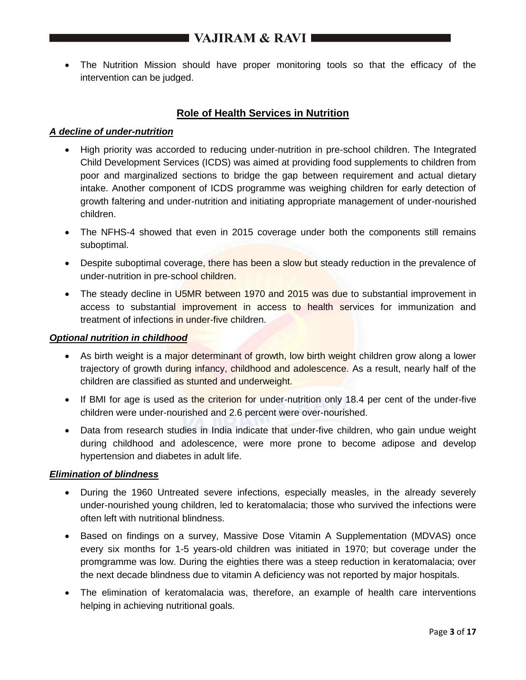The Nutrition Mission should have proper monitoring tools so that the efficacy of the intervention can be judged.

## **Role of Health Services in Nutrition**

#### *A decline of under-nutrition*

- High priority was accorded to reducing under-nutrition in pre-school children. The Integrated Child Development Services (ICDS) was aimed at providing food supplements to children from poor and marginalized sections to bridge the gap between requirement and actual dietary intake. Another component of ICDS programme was weighing children for early detection of growth faltering and under-nutrition and initiating appropriate management of under-nourished children.
- The NFHS-4 showed that even in 2015 coverage under both the components still remains suboptimal.
- Despite suboptimal coverage, there has been a slow but steady reduction in the prevalence of under-nutrition in pre-school children.
- The steady decline in U5MR between 1970 and 2015 was due to substantial improvement in access to substantial improvement in access to health services for immunization and treatment of infections in under-five children.

#### *Optional nutrition in childhood*

- As birth weight is a major determinant of growth, low birth weight children grow along a lower trajectory of growth during infancy, childhood and adolescence. As a result, nearly half of the children are classified as stunted and underweight.
- If BMI for age is used as the criterion for under-nutrition only 18.4 per cent of the under-five children were under-nourished and 2.6 percent were over-nourished.
- Data from research studies in India indicate that under-five children, who gain undue weight during childhood and adolescence, were more prone to become adipose and develop hypertension and diabetes in adult life.

#### *Elimination of blindness*

- During the 1960 Untreated severe infections, especially measles, in the already severely under-nourished young children, led to keratomalacia; those who survived the infections were often left with nutritional blindness.
- Based on findings on a survey, Massive Dose Vitamin A Supplementation (MDVAS) once every six months for 1-5 years-old children was initiated in 1970; but coverage under the promgramme was low. During the eighties there was a steep reduction in keratomalacia; over the next decade blindness due to vitamin A deficiency was not reported by major hospitals.
- The elimination of keratomalacia was, therefore, an example of health care interventions helping in achieving nutritional goals.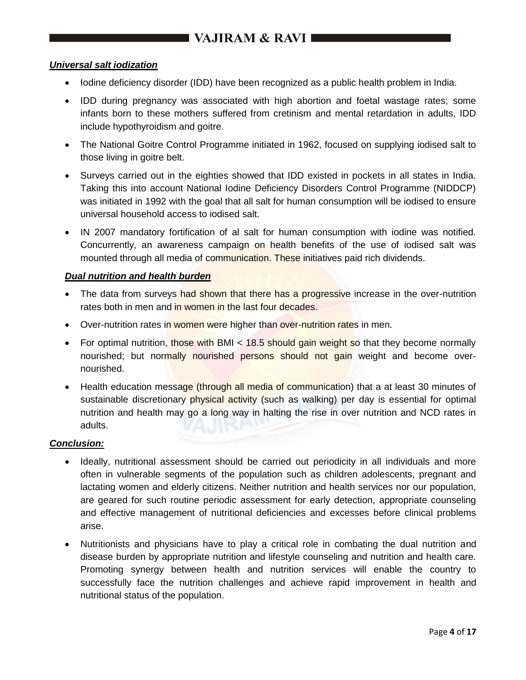#### *Universal salt iodization*

- Iodine deficiency disorder (IDD) have been recognized as a public health problem in India.
- IDD during pregnancy was associated with high abortion and foetal wastage rates; some infants born to these mothers suffered from cretinism and mental retardation in adults, IDD include hypothyroidism and goitre.
- The National Goitre Control Programme initiated in 1962, focused on supplying iodised salt to those living in goitre belt.
- Surveys carried out in the eighties showed that IDD existed in pockets in all states in India. Taking this into account National Iodine Deficiency Disorders Control Programme (NIDDCP) was initiated in 1992 with the goal that all salt for human consumption will be iodised to ensure universal household access to iodised salt.
- IN 2007 mandatory fortification of al salt for human consumption with iodine was notified. Concurrently, an awareness campaign on health benefits of the use of iodised salt was mounted through all media of communication. These initiatives paid rich dividends.

#### *Dual nutrition and health burden*

- The data from surveys had shown that there has a progressive increase in the over-nutrition rates both in men and in women in the last four decades.
- Over-nutrition rates in women were higher than over-nutrition rates in men.
- For optimal nutrition, those with BMI < 18.5 should gain weight so that they become normally nourished; but normally nourished persons should not gain weight and become overnourished.
- Health education message (through all media of communication) that a at least 30 minutes of sustainable discretionary physical activity (such as walking) per day is essential for optimal nutrition and health may go a long way in halting the rise in over nutrition and NCD rates in adults.

#### *Conclusion:*

- Ideally, nutritional assessment should be carried out periodicity in all individuals and more often in vulnerable segments of the population such as children adolescents, pregnant and lactating women and elderly citizens. Neither nutrition and health services nor our population, are geared for such routine periodic assessment for early detection, appropriate counseling and effective management of nutritional deficiencies and excesses before clinical problems arise.
- Nutritionists and physicians have to play a critical role in combating the dual nutrition and disease burden by appropriate nutrition and lifestyle counseling and nutrition and health care. Promoting synergy between health and nutrition services will enable the country to successfully face the nutrition challenges and achieve rapid improvement in health and nutritional status of the population.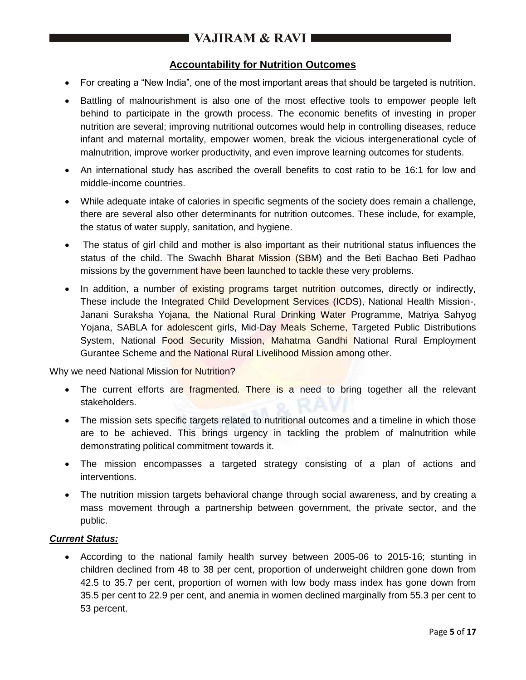## **Accountability for Nutrition Outcomes**

- For creating a "New India", one of the most important areas that should be targeted is nutrition.
- Battling of malnourishment is also one of the most effective tools to empower people left behind to participate in the growth process. The economic benefits of investing in proper nutrition are several; improving nutritional outcomes would help in controlling diseases, reduce infant and maternal mortality, empower women, break the vicious intergenerational cycle of malnutrition, improve worker productivity, and even improve learning outcomes for students.
- An international study has ascribed the overall benefits to cost ratio to be 16:1 for low and middle-income countries.
- While adequate intake of calories in specific segments of the society does remain a challenge, there are several also other determinants for nutrition outcomes. These include, for example, the status of water supply, sanitation, and hygiene.
- The status of girl child and mother is also important as their nutritional status influences the status of the child. The Swachh Bharat Mission (SBM) and the Beti Bachao Beti Padhao missions by the government have been launched to tackle these very problems.
- In addition, a number of existing programs target nutrition outcomes, directly or indirectly, These include the Integrated Child Development Services (ICDS), National Health Mission-, Janani Suraksha Yojana, the National Rural Drinking Water Programme, Matriya Sahyog Yojana, SABLA for adolescent girls, Mid-Day Meals Scheme, Targeted Public Distributions System, National Food Security Mission, Mahatma Gandhi National Rural Employment Gurantee Scheme and the National Rural Livelihood Mission among other.

Why we need National Mission for Nutrition?

- The current efforts are fragmented. There is a need to bring together all the relevant stakeholders.
- The mission sets specific targets related to nutritional outcomes and a timeline in which those are to be achieved. This brings urgency in tackling the problem of malnutrition while demonstrating political commitment towards it.
- The mission encompasses a targeted strategy consisting of a plan of actions and interventions.
- The nutrition mission targets behavioral change through social awareness, and by creating a mass movement through a partnership between government, the private sector, and the public.

#### *Current Status:*

 According to the national family health survey between 2005-06 to 2015-16; stunting in children declined from 48 to 38 per cent, proportion of underweight children gone down from 42.5 to 35.7 per cent, proportion of women with low body mass index has gone down from 35.5 per cent to 22.9 per cent, and anemia in women declined marginally from 55.3 per cent to 53 percent.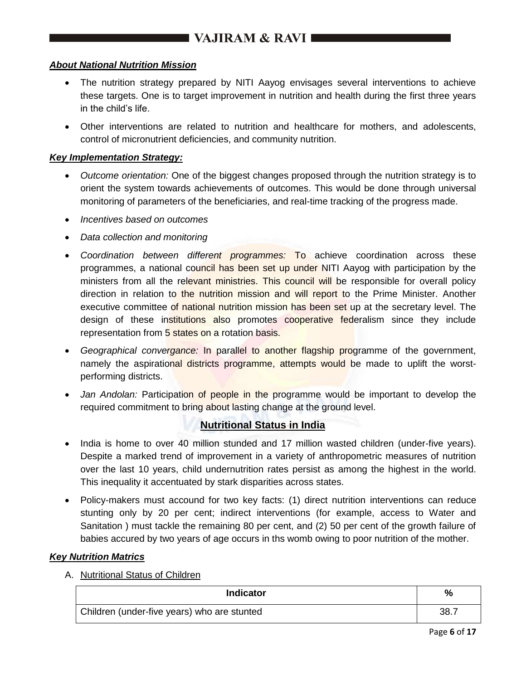### *About National Nutrition Mission*

- The nutrition strategy prepared by NITI Aayog envisages several interventions to achieve these targets. One is to target improvement in nutrition and health during the first three years in the child's life.
- Other interventions are related to nutrition and healthcare for mothers, and adolescents, control of micronutrient deficiencies, and community nutrition.

#### *Key Implementation Strategy:*

- *Outcome orientation:* One of the biggest changes proposed through the nutrition strategy is to orient the system towards achievements of outcomes. This would be done through universal monitoring of parameters of the beneficiaries, and real-time tracking of the progress made.
- *Incentives based on outcomes*
- *Data collection and monitoring*
- *Coordination between different programmes:* To achieve coordination across these programmes, a national council has been set up under NITI Aayog with participation by the ministers from all the relevant ministries. This council will be responsible for overall policy direction in relation to the nutrition mission and will report to the Prime Minister. Another executive committee of national nutrition mission has been set up at the secretary level. The design of these institutions also promotes cooperative federalism since they include representation from 5 states on a rotation basis.
- *Geographical convergance:* In parallel to another flagship programme of the government, namely the aspirational districts programme, attempts would be made to uplift the worstperforming districts.
- Jan Andolan: Participation of people in the programme would be important to develop the required commitment to bring about lasting change at the ground level.

# **Nutritional Status in India**

- India is home to over 40 million stunded and 17 million wasted children (under-five years). Despite a marked trend of improvement in a variety of anthropometric measures of nutrition over the last 10 years, child undernutrition rates persist as among the highest in the world. This inequality it accentuated by stark disparities across states.
- Policy-makers must accound for two key facts: (1) direct nutrition interventions can reduce stunting only by 20 per cent; indirect interventions (for example, access to Water and Sanitation ) must tackle the remaining 80 per cent, and (2) 50 per cent of the growth failure of babies accured by two years of age occurs in ths womb owing to poor nutrition of the mother.

### *Key Nutrition Matrics*

A. Nutritional Status of Children

| <b>Indicator</b>                            | %    |
|---------------------------------------------|------|
| Children (under-five years) who are stunted | 38.7 |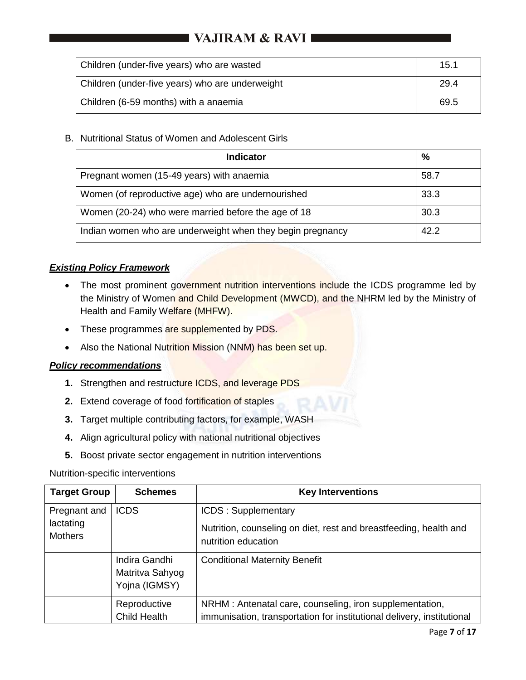# I VAJIRAM & RAVI **III**

| Children (under-five years) who are wasted      | 15.1 |
|-------------------------------------------------|------|
| Children (under-five years) who are underweight | 29.4 |
| Children (6-59 months) with a anaemia           | 69.5 |

## B. Nutritional Status of Women and Adolescent Girls

| Indicator                                                  | %    |
|------------------------------------------------------------|------|
| Pregnant women (15-49 years) with anaemia                  | 58.7 |
| Women (of reproductive age) who are undernourished         | 33.3 |
| Women (20-24) who were married before the age of 18        | 30.3 |
| Indian women who are underweight when they begin pregnancy | 42.2 |

## *Existing Policy Framework*

- The most prominent government nutrition interventions include the ICDS programme led by the Ministry of Women and Child Development (MWCD), and the NHRM led by the Ministry of Health and Family Welfare (MHFW).
- These programmes are supplemented by PDS.
- Also the National Nutrition Mission (NNM) has been set up.

### *Policy recommendations*

- **1.** Strengthen and restructure ICDS, and leverage PDS
- **2.** Extend coverage of food fortification of staples
- **3.** Target multiple contributing factors, for example, WASH
- **4.** Align agricultural policy with national nutritional objectives
- **5.** Boost private sector engagement in nutrition interventions

### Nutrition-specific interventions

| <b>Target Group</b>                         | <b>Schemes</b>                                    | <b>Key Interventions</b>                                                                                                           |
|---------------------------------------------|---------------------------------------------------|------------------------------------------------------------------------------------------------------------------------------------|
| Pregnant and<br>lactating<br><b>Mothers</b> | <b>ICDS</b>                                       | <b>ICDS: Supplementary</b>                                                                                                         |
|                                             |                                                   | Nutrition, counseling on diet, rest and breastfeeding, health and<br>nutrition education                                           |
|                                             | Indira Gandhi<br>Matritva Sahyog<br>Yojna (IGMSY) | <b>Conditional Maternity Benefit</b>                                                                                               |
|                                             | Reproductive<br><b>Child Health</b>               | NRHM : Antenatal care, counseling, iron supplementation,<br>immunisation, transportation for institutional delivery, institutional |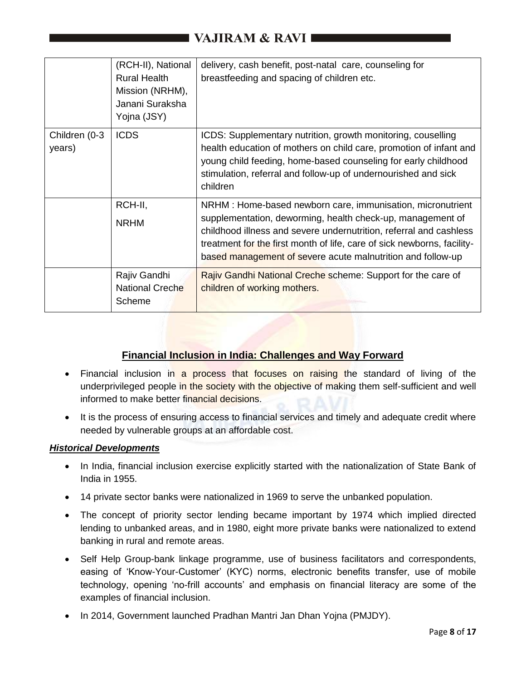# **I VAJIRAM & RAVI III**

|                         | (RCH-II), National<br><b>Rural Health</b><br>Mission (NRHM),<br>Janani Suraksha<br>Yojna (JSY) | delivery, cash benefit, post-natal care, counseling for<br>breastfeeding and spacing of children etc.                                                                                                                                                                                                                                     |
|-------------------------|------------------------------------------------------------------------------------------------|-------------------------------------------------------------------------------------------------------------------------------------------------------------------------------------------------------------------------------------------------------------------------------------------------------------------------------------------|
| Children (0-3<br>years) | <b>ICDS</b>                                                                                    | ICDS: Supplementary nutrition, growth monitoring, couselling<br>health education of mothers on child care, promotion of infant and<br>young child feeding, home-based counseling for early childhood<br>stimulation, referral and follow-up of undernourished and sick<br>children                                                        |
|                         | RCH-II,<br><b>NRHM</b>                                                                         | NRHM : Home-based newborn care, immunisation, micronutrient<br>supplementation, deworming, health check-up, management of<br>childhood illness and severe undernutrition, referral and cashless<br>treatment for the first month of life, care of sick newborns, facility-<br>based management of severe acute malnutrition and follow-up |
|                         | Rajiv Gandhi<br><b>National Creche</b><br>Scheme                                               | Rajiv Gandhi National Creche scheme: Support for the care of<br>children of working mothers.                                                                                                                                                                                                                                              |

## **Financial Inclusion in India: Challenges and Way Forward**

- Financial inclusion in a process that focuses on raising the standard of living of the underprivileged people in the society with the objective of making them self-sufficient and well informed to make better financial decisions.
- It is the process of ensuring access to financial services and timely and adequate credit where needed by vulnerable groups at an affordable cost.

### *Historical Developments*

- In India, financial inclusion exercise explicitly started with the nationalization of State Bank of India in 1955.
- 14 private sector banks were nationalized in 1969 to serve the unbanked population.
- The concept of priority sector lending became important by 1974 which implied directed lending to unbanked areas, and in 1980, eight more private banks were nationalized to extend banking in rural and remote areas.
- Self Help Group-bank linkage programme, use of business facilitators and correspondents, easing of 'Know-Your-Customer' (KYC) norms, electronic benefits transfer, use of mobile technology, opening 'no-frill accounts' and emphasis on financial literacy are some of the examples of financial inclusion.
- In 2014, Government launched Pradhan Mantri Jan Dhan Yojna (PMJDY).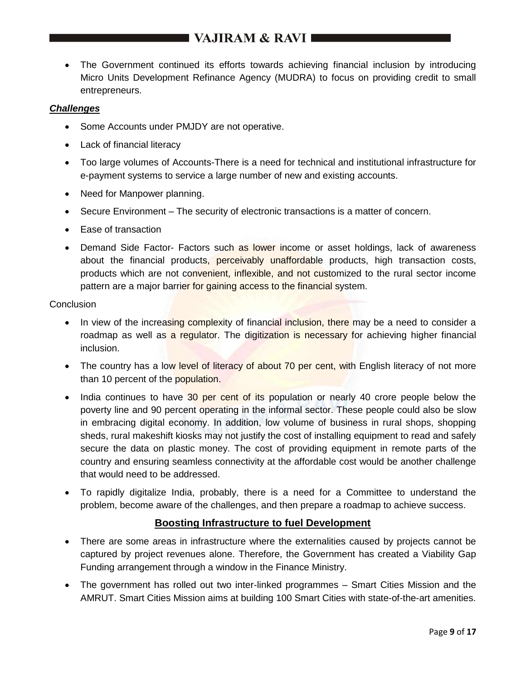# **EXAMPLE IN VAJIRAM & RAVI**

 The Government continued its efforts towards achieving financial inclusion by introducing Micro Units Development Refinance Agency (MUDRA) to focus on providing credit to small entrepreneurs.

#### *Challenges*

- Some Accounts under PMJDY are not operative.
- Lack of financial literacy
- Too large volumes of Accounts-There is a need for technical and institutional infrastructure for e-payment systems to service a large number of new and existing accounts.
- Need for Manpower planning.
- Secure Environment The security of electronic transactions is a matter of concern.
- Ease of transaction
- Demand Side Factor- Factors such as lower income or asset holdings, lack of awareness about the financial products, perceivably unaffordable products, high transaction costs, products which are not convenient, inflexible, and not customized to the rural sector income pattern are a major barrier for gaining access to the financial system.

#### **Conclusion**

- In view of the increasing complexity of financial inclusion, there may be a need to consider a roadmap as well as a regulator. The digitization is necessary for achieving higher financial inclusion.
- The country has a low level of literacy of about 70 per cent, with English literacy of not more than 10 percent of the population.
- India continues to have 30 per cent of its population or nearly 40 crore people below the poverty line and 90 percent operating in the informal sector. These people could also be slow in embracing digital economy. In addition, low volume of business in rural shops, shopping sheds, rural makeshift kiosks may not justify the cost of installing equipment to read and safely secure the data on plastic money. The cost of providing equipment in remote parts of the country and ensuring seamless connectivity at the affordable cost would be another challenge that would need to be addressed.
- To rapidly digitalize India, probably, there is a need for a Committee to understand the problem, become aware of the challenges, and then prepare a roadmap to achieve success.

### **Boosting Infrastructure to fuel Development**

- There are some areas in infrastructure where the externalities caused by projects cannot be captured by project revenues alone. Therefore, the Government has created a Viability Gap Funding arrangement through a window in the Finance Ministry.
- The government has rolled out two inter-linked programmes Smart Cities Mission and the AMRUT. Smart Cities Mission aims at building 100 Smart Cities with state-of-the-art amenities.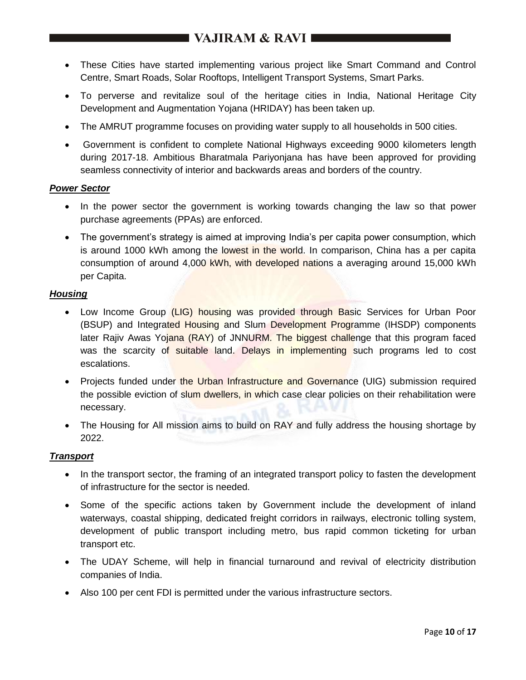# **EXAMPLE VAJIRAM & RAVI**

- These Cities have started implementing various project like Smart Command and Control Centre, Smart Roads, Solar Rooftops, Intelligent Transport Systems, Smart Parks.
- To perverse and revitalize soul of the heritage cities in India, National Heritage City Development and Augmentation Yojana (HRIDAY) has been taken up.
- The AMRUT programme focuses on providing water supply to all households in 500 cities.
- Government is confident to complete National Highways exceeding 9000 kilometers length during 2017-18. Ambitious Bharatmala Pariyonjana has have been approved for providing seamless connectivity of interior and backwards areas and borders of the country.

#### *Power Sector*

- In the power sector the government is working towards changing the law so that power purchase agreements (PPAs) are enforced.
- The government's strategy is aimed at improving India's per capita power consumption, which is around 1000 kWh among the lowest in the world. In comparison, China has a per capita consumption of around 4,000 kWh, with developed nations a averaging around 15,000 kWh per Capita.

#### *Housing*

- Low Income Group (LIG) housing was provided through Basic Services for Urban Poor (BSUP) and Integrated Housing and Slum Development Programme (IHSDP) components later Rajiv Awas Yojana (RAY) of JNNURM. The biggest challenge that this program faced was the scarcity of suitable land. Delays in implementing such programs led to cost escalations.
- Projects funded under the Urban Infrastructure and Governance (UIG) submission required the possible eviction of slum dwellers, in which case clear policies on their rehabilitation were necessary.
- The Housing for All mission aims to build on RAY and fully address the housing shortage by 2022.

### *Transport*

- In the transport sector, the framing of an integrated transport policy to fasten the development of infrastructure for the sector is needed.
- Some of the specific actions taken by Government include the development of inland waterways, coastal shipping, dedicated freight corridors in railways, electronic tolling system, development of public transport including metro, bus rapid common ticketing for urban transport etc.
- The UDAY Scheme, will help in financial turnaround and revival of electricity distribution companies of India.
- Also 100 per cent FDI is permitted under the various infrastructure sectors.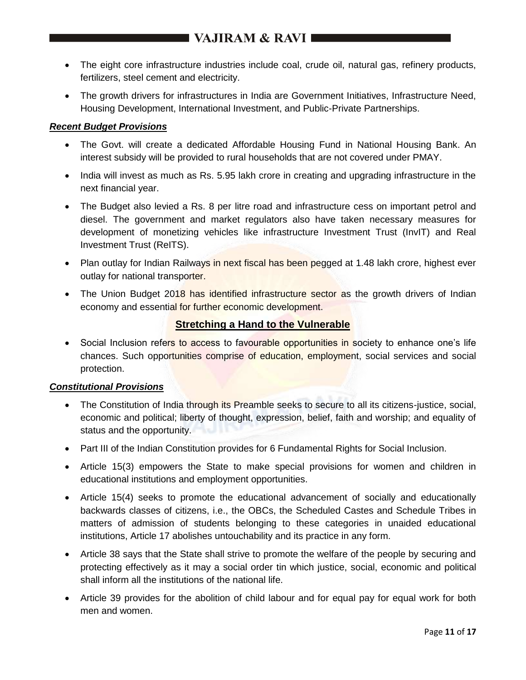- The eight core infrastructure industries include coal, crude oil, natural gas, refinery products, fertilizers, steel cement and electricity.
- The growth drivers for infrastructures in India are Government Initiatives, Infrastructure Need, Housing Development, International Investment, and Public-Private Partnerships.

### *Recent Budget Provisions*

- The Govt. will create a dedicated Affordable Housing Fund in National Housing Bank. An interest subsidy will be provided to rural households that are not covered under PMAY.
- India will invest as much as Rs. 5.95 lakh crore in creating and upgrading infrastructure in the next financial year.
- The Budget also levied a Rs. 8 per litre road and infrastructure cess on important petrol and diesel. The government and market regulators also have taken necessary measures for development of monetizing vehicles like infrastructure Investment Trust (InvIT) and Real Investment Trust (ReITS).
- Plan outlay for Indian Railways in next fiscal has been pegged at 1.48 lakh crore, highest ever outlay for national transporter.
- The Union Budget 2018 has identified infrastructure sector as the growth drivers of Indian economy and essential for further economic development.

## **Stretching a Hand to the Vulnerable**

• Social Inclusion refers to access to favourable opportunities in society to enhance one's life chances. Such opportunities comprise of education, employment, social services and social protection.

### *Constitutional Provisions*

- The Constitution of India through its Preamble seeks to secure to all its citizens-justice, social, economic and political; liberty of thought, expression, belief, faith and worship; and equality of status and the opportunity.
- Part III of the Indian Constitution provides for 6 Fundamental Rights for Social Inclusion.
- Article 15(3) empowers the State to make special provisions for women and children in educational institutions and employment opportunities.
- Article 15(4) seeks to promote the educational advancement of socially and educationally backwards classes of citizens, i.e., the OBCs, the Scheduled Castes and Schedule Tribes in matters of admission of students belonging to these categories in unaided educational institutions, Article 17 abolishes untouchability and its practice in any form.
- Article 38 says that the State shall strive to promote the welfare of the people by securing and protecting effectively as it may a social order tin which justice, social, economic and political shall inform all the institutions of the national life.
- Article 39 provides for the abolition of child labour and for equal pay for equal work for both men and women.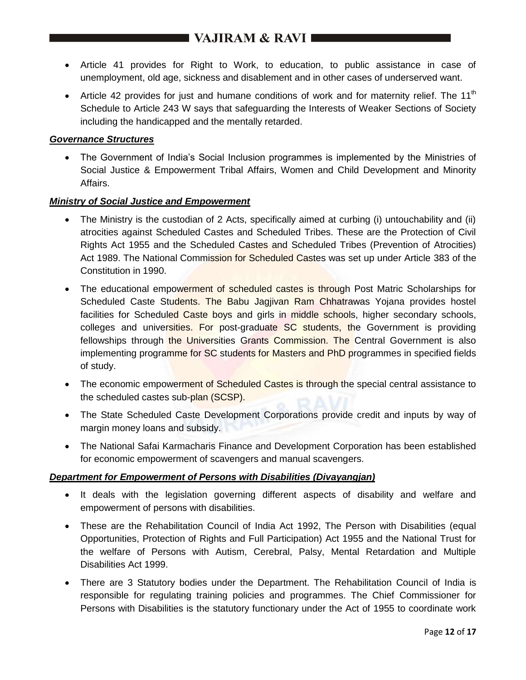# **EXAMPLE VAJIRAM & RAVI**

- Article 41 provides for Right to Work, to education, to public assistance in case of unemployment, old age, sickness and disablement and in other cases of underserved want.
- Article 42 provides for just and humane conditions of work and for maternity relief. The 11<sup>th</sup> Schedule to Article 243 W says that safeguarding the Interests of Weaker Sections of Society including the handicapped and the mentally retarded.

### *Governance Structures*

 The Government of India's Social Inclusion programmes is implemented by the Ministries of Social Justice & Empowerment Tribal Affairs, Women and Child Development and Minority Affairs.

#### *Ministry of Social Justice and Empowerment*

- The Ministry is the custodian of 2 Acts, specifically aimed at curbing (i) untouchability and (ii) atrocities against Scheduled Castes and Scheduled Tribes. These are the Protection of Civil Rights Act 1955 and the Scheduled Castes and Scheduled Tribes (Prevention of Atrocities) Act 1989. The National Commission for Scheduled Castes was set up under Article 383 of the Constitution in 1990.
- The educational empowerment of scheduled castes is through Post Matric Scholarships for Scheduled Caste Students. The Babu Jagjivan Ram Chhatrawas Yojana provides hostel facilities for Scheduled Caste boys and girls in middle schools, higher secondary schools, colleges and universities. For post-graduate SC students, the Government is providing fellowships through the Universities Grants Commission. The Central Government is also implementing programme for SC students for Masters and PhD programmes in specified fields of study.
- The economic empowerment of Scheduled Castes is through the special central assistance to the scheduled castes sub-plan (SCSP).
- The State Scheduled Caste Development Corporations provide credit and inputs by way of margin money loans and subsidy.
- The National Safai Karmacharis Finance and Development Corporation has been established for economic empowerment of scavengers and manual scavengers.

### *Department for Empowerment of Persons with Disabilities (Divayangjan)*

- It deals with the legislation governing different aspects of disability and welfare and empowerment of persons with disabilities.
- These are the Rehabilitation Council of India Act 1992, The Person with Disabilities (equal Opportunities, Protection of Rights and Full Participation) Act 1955 and the National Trust for the welfare of Persons with Autism, Cerebral, Palsy, Mental Retardation and Multiple Disabilities Act 1999.
- There are 3 Statutory bodies under the Department. The Rehabilitation Council of India is responsible for regulating training policies and programmes. The Chief Commissioner for Persons with Disabilities is the statutory functionary under the Act of 1955 to coordinate work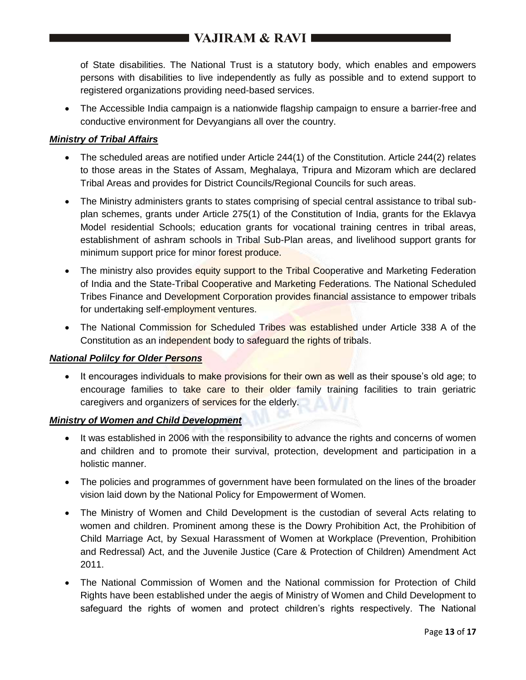of State disabilities. The National Trust is a statutory body, which enables and empowers persons with disabilities to live independently as fully as possible and to extend support to registered organizations providing need-based services.

 The Accessible India campaign is a nationwide flagship campaign to ensure a barrier-free and conductive environment for Devyangians all over the country.

### *Ministry of Tribal Affairs*

- The scheduled areas are notified under Article 244(1) of the Constitution. Article 244(2) relates to those areas in the States of Assam, Meghalaya, Tripura and Mizoram which are declared Tribal Areas and provides for District Councils/Regional Councils for such areas.
- The Ministry administers grants to states comprising of special central assistance to tribal subplan schemes, grants under Article 275(1) of the Constitution of India, grants for the Eklavya Model residential Schools; education grants for vocational training centres in tribal areas, establishment of ashram schools in Tribal Sub-Plan areas, and livelihood support grants for minimum support price for minor forest produce.
- The ministry also provides equity support to the Tribal Cooperative and Marketing Federation of India and the State-Tribal Cooperative and Marketing Federations. The National Scheduled Tribes Finance and Development Corporation provides financial assistance to empower tribals for undertaking self-employment ventures.
- The National Commission for Scheduled Tribes was established under Article 338 A of the Constitution as an independent body to safeguard the rights of tribals.

#### *National Polilcy for Older Persons*

• It encourages individuals to make provisions for their own as well as their spouse's old age; to encourage families to take care to their older family training facilities to train geriatric caregivers and organizers of services for the elderly.

### *Ministry of Women and Child Development*

- It was established in 2006 with the responsibility to advance the rights and concerns of women and children and to promote their survival, protection, development and participation in a holistic manner.
- The policies and programmes of government have been formulated on the lines of the broader vision laid down by the National Policy for Empowerment of Women.
- The Ministry of Women and Child Development is the custodian of several Acts relating to women and children. Prominent among these is the Dowry Prohibition Act, the Prohibition of Child Marriage Act, by Sexual Harassment of Women at Workplace (Prevention, Prohibition and Redressal) Act, and the Juvenile Justice (Care & Protection of Children) Amendment Act 2011.
- The National Commission of Women and the National commission for Protection of Child Rights have been established under the aegis of Ministry of Women and Child Development to safeguard the rights of women and protect children's rights respectively. The National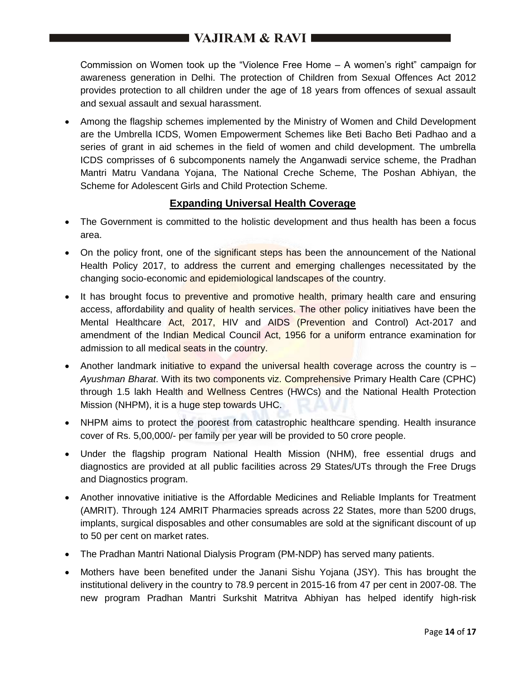Commission on Women took up the "Violence Free Home – A women's right" campaign for awareness generation in Delhi. The protection of Children from Sexual Offences Act 2012 provides protection to all children under the age of 18 years from offences of sexual assault and sexual assault and sexual harassment.

 Among the flagship schemes implemented by the Ministry of Women and Child Development are the Umbrella ICDS, Women Empowerment Schemes like Beti Bacho Beti Padhao and a series of grant in aid schemes in the field of women and child development. The umbrella ICDS comprisses of 6 subcomponents namely the Anganwadi service scheme, the Pradhan Mantri Matru Vandana Yojana, The National Creche Scheme, The Poshan Abhiyan, the Scheme for Adolescent Girls and Child Protection Scheme.

## **Expanding Universal Health Coverage**

- The Government is committed to the holistic development and thus health has been a focus area.
- On the policy front, one of the significant steps has been the announcement of the National Health Policy 2017, to address the current and emerging challenges necessitated by the changing socio-economic and epidemiological landscapes of the country.
- It has brought focus to preventive and promotive health, primary health care and ensuring access, affordability and quality of health services. The other policy initiatives have been the Mental Healthcare Act, 2017, HIV and AIDS (Prevention and Control) Act-2017 and amendment of the Indian Medical Council Act, 1956 for a uniform entrance examination for admission to all medical seats in the country.
- Another landmark initiative to expand the universal health coverage across the country is *Ayushman Bharat*. With its two components viz. Comprehensive Primary Health Care (CPHC) through 1.5 lakh Health and Wellness Centres (HWCs) and the National Health Protection Mission (NHPM), it is a huge step towards UHC.
- NHPM aims to protect the poorest from catastrophic healthcare spending. Health insurance cover of Rs. 5,00,000/- per family per year will be provided to 50 crore people.
- Under the flagship program National Health Mission (NHM), free essential drugs and diagnostics are provided at all public facilities across 29 States/UTs through the Free Drugs and Diagnostics program.
- Another innovative initiative is the Affordable Medicines and Reliable Implants for Treatment (AMRIT). Through 124 AMRIT Pharmacies spreads across 22 States, more than 5200 drugs, implants, surgical disposables and other consumables are sold at the significant discount of up to 50 per cent on market rates.
- The Pradhan Mantri National Dialysis Program (PM-NDP) has served many patients.
- Mothers have been benefited under the Janani Sishu Yojana (JSY). This has brought the institutional delivery in the country to 78.9 percent in 2015-16 from 47 per cent in 2007-08. The new program Pradhan Mantri Surkshit Matritva Abhiyan has helped identify high-risk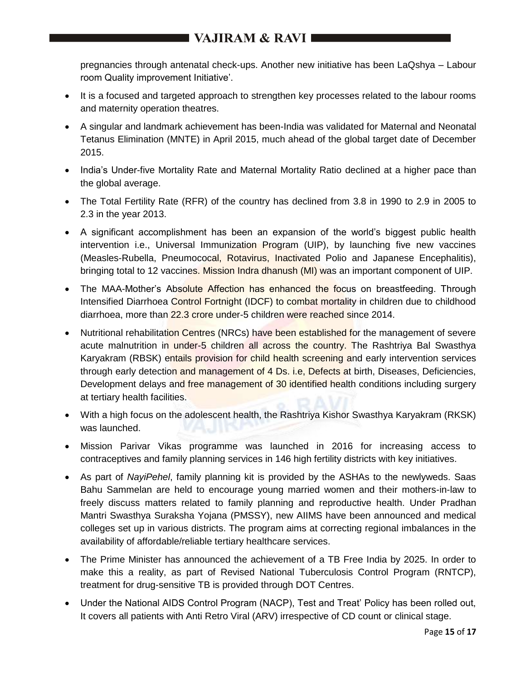pregnancies through antenatal check-ups. Another new initiative has been LaQshya – Labour room Quality improvement Initiative'.

- It is a focused and targeted approach to strengthen key processes related to the labour rooms and maternity operation theatres.
- A singular and landmark achievement has been-India was validated for Maternal and Neonatal Tetanus Elimination (MNTE) in April 2015, much ahead of the global target date of December 2015.
- India's Under-five Mortality Rate and Maternal Mortality Ratio declined at a higher pace than the global average.
- The Total Fertility Rate (RFR) of the country has declined from 3.8 in 1990 to 2.9 in 2005 to 2.3 in the year 2013.
- A significant accomplishment has been an expansion of the world's biggest public health intervention i.e., Universal Immunization Program (UIP), by launching five new vaccines (Measles-Rubella, Pneumococal, Rotavirus, Inactivated Polio and Japanese Encephalitis), bringing total to 12 vaccines. Mission Indra dhanush (MI) was an important component of UIP.
- The MAA-Mother's Absolute Affection has enhanced the focus on breastfeeding. Through Intensified Diarrhoea Control Fortnight (IDCF) to combat mortality in children due to childhood diarrhoea, more than 22.3 crore under-5 children were reached since 2014.
- Nutritional rehabilitation Centres (NRCs) have been established for the management of severe acute malnutrition in under-5 children all across the country. The Rashtriya Bal Swasthya Karyakram (RBSK) entails provision for child health screening and early intervention services through early detection and management of 4 Ds. i.e, Defects at birth, Diseases, Deficiencies, Development delays and free management of 30 identified health conditions including surgery at tertiary health facilities.
- With a high focus on the adolescent health, the Rashtriya Kishor Swasthya Karyakram (RKSK) was launched.
- Mission Parivar Vikas programme was launched in 2016 for increasing access to contraceptives and family planning services in 146 high fertility districts with key initiatives.
- As part of *NayiPehel*, family planning kit is provided by the ASHAs to the newlyweds. Saas Bahu Sammelan are held to encourage young married women and their mothers-in-law to freely discuss matters related to family planning and reproductive health. Under Pradhan Mantri Swasthya Suraksha Yojana (PMSSY), new AIIMS have been announced and medical colleges set up in various districts. The program aims at correcting regional imbalances in the availability of affordable/reliable tertiary healthcare services.
- The Prime Minister has announced the achievement of a TB Free India by 2025. In order to make this a reality, as part of Revised National Tuberculosis Control Program (RNTCP), treatment for drug-sensitive TB is provided through DOT Centres.
- Under the National AIDS Control Program (NACP), Test and Treat' Policy has been rolled out, It covers all patients with Anti Retro Viral (ARV) irrespective of CD count or clinical stage.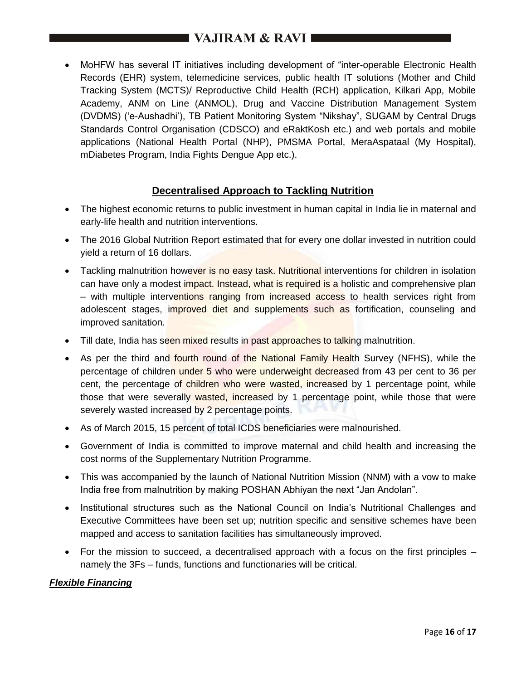MoHFW has several IT initiatives including development of "inter-operable Electronic Health Records (EHR) system, telemedicine services, public health IT solutions (Mother and Child Tracking System (MCTS)/ Reproductive Child Health (RCH) application, Kilkari App, Mobile Academy, ANM on Line (ANMOL), Drug and Vaccine Distribution Management System (DVDMS) ('e-Aushadhi'), TB Patient Monitoring System "Nikshay", SUGAM by Central Drugs Standards Control Organisation (CDSCO) and eRaktKosh etc.) and web portals and mobile applications (National Health Portal (NHP), PMSMA Portal, MeraAspataal (My Hospital), mDiabetes Program, India Fights Dengue App etc.).

## **Decentralised Approach to Tackling Nutrition**

- The highest economic returns to public investment in human capital in India lie in maternal and early-life health and nutrition interventions.
- The 2016 Global Nutrition Report estimated that for every one dollar invested in nutrition could yield a return of 16 dollars.
- Tackling malnutrition however is no easy task. Nutritional interventions for children in isolation can have only a modest impact. Instead, what is required is a holistic and comprehensive plan – with multiple interventions ranging from increased access to health services right from adolescent stages, improved diet and supplements such as fortification, counseling and improved sanitation.
- Till date, India has seen mixed results in past approaches to talking malnutrition.
- As per the third and fourth round of the National Family Health Survey (NFHS), while the percentage of children under 5 who were underweight decreased from 43 per cent to 36 per cent, the percentage of children who were wasted, increased by 1 percentage point, while those that were severally wasted, increased by 1 percentage point, while those that were severely wasted increased by 2 percentage points.
- As of March 2015, 15 percent of total ICDS beneficiaries were malnourished.
- Government of India is committed to improve maternal and child health and increasing the cost norms of the Supplementary Nutrition Programme.
- This was accompanied by the launch of National Nutrition Mission (NNM) with a vow to make India free from malnutrition by making POSHAN Abhiyan the next "Jan Andolan".
- Institutional structures such as the National Council on India's Nutritional Challenges and Executive Committees have been set up; nutrition specific and sensitive schemes have been mapped and access to sanitation facilities has simultaneously improved.
- For the mission to succeed, a decentralised approach with a focus on the first principles namely the 3Fs – funds, functions and functionaries will be critical.

#### *Flexible Financing*